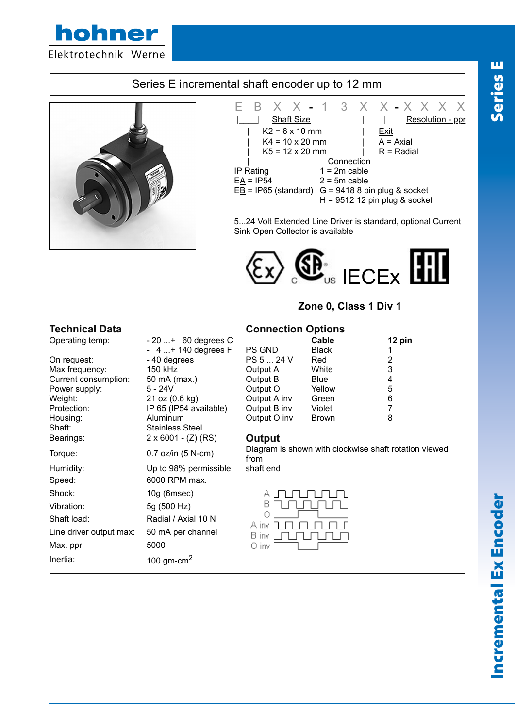

# Series E incremental shaft encoder up to 12 mm





5...24 Volt Extended Line Driver is standard, optional Current Sink Open Collector is available



**Zone 0, Class 1 Div 1**

| <b>Technical Data</b>   |                            |              | <b>Connection Options</b>                             |        |  |
|-------------------------|----------------------------|--------------|-------------------------------------------------------|--------|--|
| Operating temp:         | $-20+ 60$ degrees C        |              | Cable                                                 | 12 pin |  |
|                         | $-4+140$ degrees F         | PS GND       | <b>Black</b>                                          |        |  |
| On request:             | - 40 degrees               | PS 5  24 V   | Red                                                   | 2      |  |
| Max frequency:          | 150 kHz                    | Output A     | White                                                 | 3      |  |
| Current consumption:    | 50 mA (max.)               | Output B     | <b>Blue</b>                                           | 4      |  |
| Power supply:           | $5 - 24V$                  | Output O     | Yellow                                                | 5      |  |
| Weight:                 | 21 oz (0.6 kg)             | Output A inv | Green                                                 | 6      |  |
| Protection:             | IP 65 (IP54 available)     | Output B inv | Violet                                                | 7      |  |
| Housing:                | <b>Aluminum</b>            | Output O inv | <b>Brown</b>                                          | 8      |  |
| Shaft:                  | <b>Stainless Steel</b>     |              |                                                       |        |  |
| Bearings:               | $2 \times 6001 - (Z) (RS)$ | Output       |                                                       |        |  |
| Torque:                 | $0.7$ oz/in $(5 N-cm)$     | from         | Diagram is shown with clockwise shaft rotation viewed |        |  |
| Humidity:               | Up to 98% permissible      | shaft end    |                                                       |        |  |
| Speed:                  | 6000 RPM max.              |              |                                                       |        |  |
| Shock:                  | $10g$ (6msec)              | А            |                                                       |        |  |
| Vibration:              | 5g (500 Hz)                | в            |                                                       |        |  |
| Shaft load:             | Radial / Axial 10 N        | A inv        |                                                       |        |  |
| Line driver output max: | 50 mA per channel          | B inv        |                                                       |        |  |
| Max. ppr                | 5000                       | 0 inv        |                                                       |        |  |
| Inertia:                | 100 gm-cm <sup>2</sup>     |              |                                                       |        |  |

# **Incremental Ex Encoder** Incremental Ex Encoder